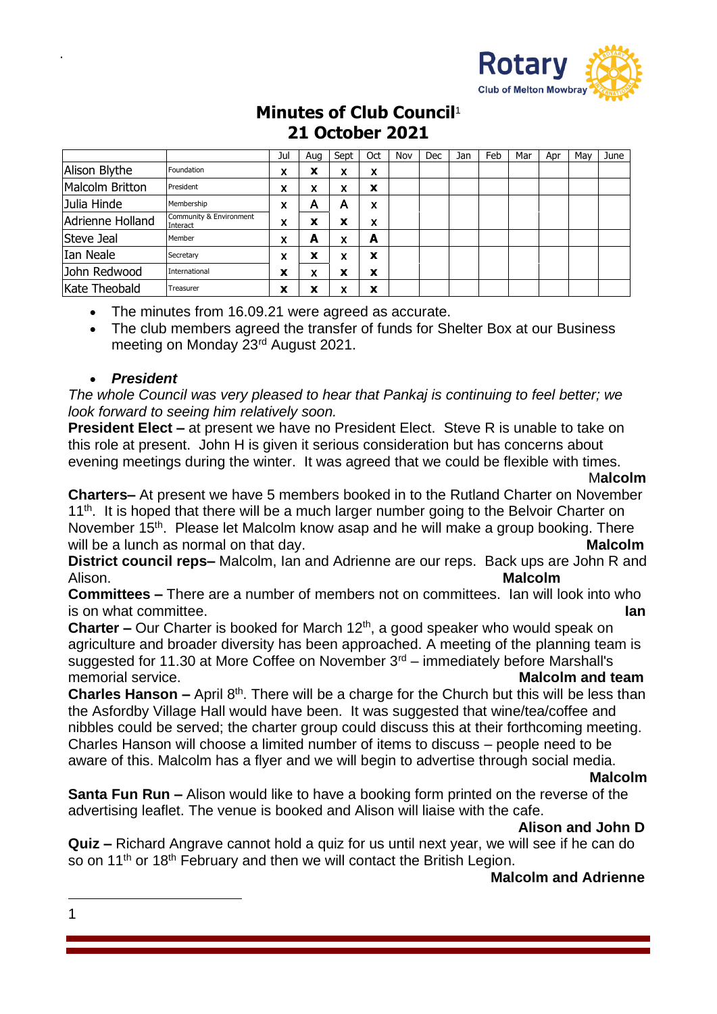

# **Minutes of Club Council**<sup>1</sup> **21 October 2021**

|                  |                                     | Jul | Aua              | Sept   | Oct | Nov | Dec | Jan | Feb | Mar | Apr | Mav | June |
|------------------|-------------------------------------|-----|------------------|--------|-----|-----|-----|-----|-----|-----|-----|-----|------|
| Alison Blythe    | Foundation                          | x   | x                | x      | x   |     |     |     |     |     |     |     |      |
| Malcolm Britton  | President                           | x   | v<br>A           | x      | X   |     |     |     |     |     |     |     |      |
| Julia Hinde      | Membership                          | x   | А                | А      | x   |     |     |     |     |     |     |     |      |
| Adrienne Holland | Community & Environment<br>Interact | x   | v<br>$\ddot{\,}$ | x      | x   |     |     |     |     |     |     |     |      |
| Steve Jeal       | Member                              | x   | А                | v<br>^ | A   |     |     |     |     |     |     |     |      |
| Ian Neale        | Secretary                           | x   | X                | x      | X   |     |     |     |     |     |     |     |      |
| John Redwood     | International                       | x   | x                | x      | X   |     |     |     |     |     |     |     |      |
| Kate Theobald    | Treasurer                           | x   | v<br>́           | v<br>^ | X   |     |     |     |     |     |     |     |      |

• The minutes from 16.09.21 were agreed as accurate.

• The club members agreed the transfer of funds for Shelter Box at our Business meeting on Monday 23rd August 2021.

### • *President*

.

*The whole Council was very pleased to hear that Pankaj is continuing to feel better; we look forward to seeing him relatively soon.*

**President Elect –** at present we have no President Elect. Steve R is unable to take on this role at present. John H is given it serious consideration but has concerns about evening meetings during the winter. It was agreed that we could be flexible with times.

#### M**alcolm**

**Charters–** At present we have 5 members booked in to the Rutland Charter on November 11<sup>th</sup>. It is hoped that there will be a much larger number going to the Belvoir Charter on November 15<sup>th</sup>. Please let Malcolm know asap and he will make a group booking. There will be a lunch as normal on that day. **Malcolm Malcolm** 

**District council reps–** Malcolm, Ian and Adrienne are our reps. Back ups are John R and Alison. **Malcolm** 

**Committees –** There are a number of members not on committees. Ian will look into who is on what committee. **Ian**

**Charter –** Our Charter is booked for March 12<sup>th</sup>, a good speaker who would speak on agriculture and broader diversity has been approached. A meeting of the planning team is suggested for 11.30 at More Coffee on November  $3<sup>rd</sup>$  – immediately before Marshall's memorial service. **Malcolm and team**

**Charles Hanson –** April 8<sup>th</sup>. There will be a charge for the Church but this will be less than the Asfordby Village Hall would have been. It was suggested that wine/tea/coffee and nibbles could be served; the charter group could discuss this at their forthcoming meeting. Charles Hanson will choose a limited number of items to discuss – people need to be aware of this. Malcolm has a flyer and we will begin to advertise through social media.

#### **Malcolm**

**Santa Fun Run –** Alison would like to have a booking form printed on the reverse of the advertising leaflet. The venue is booked and Alison will liaise with the cafe.

#### **Alison and John D**

**Quiz –** Richard Angrave cannot hold a quiz for us until next year, we will see if he can do so on 11<sup>th</sup> or 18<sup>th</sup> February and then we will contact the British Legion.

### **Malcolm and Adrienne**

1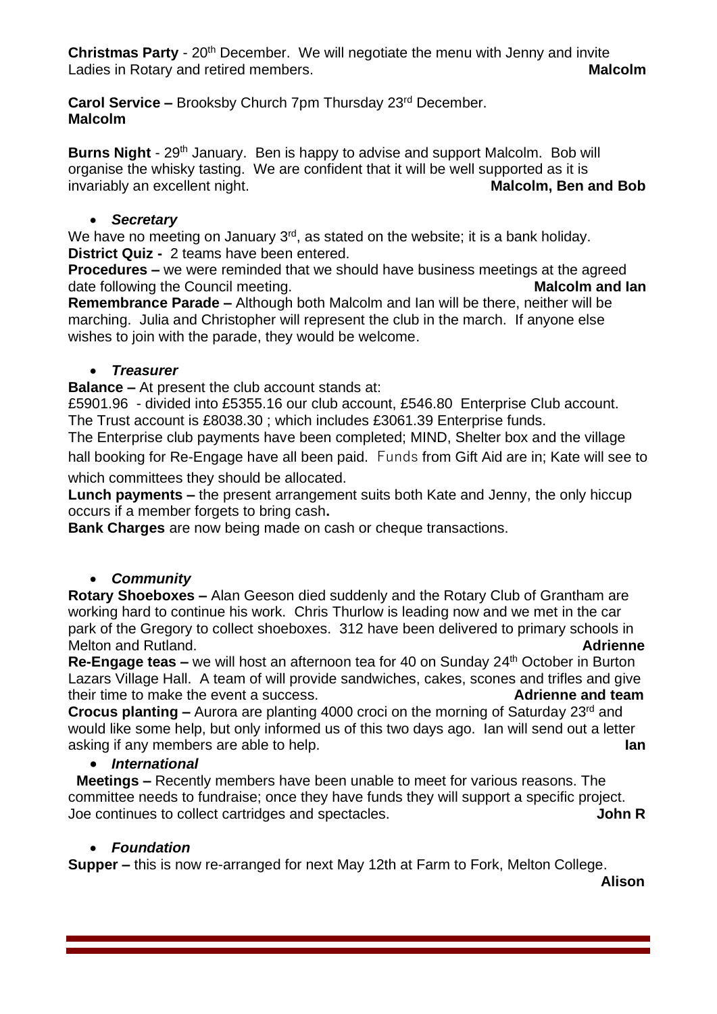**Christmas Party** - 20<sup>th</sup> December. We will negotiate the menu with Jenny and invite Ladies in Rotary and retired members. **Malcolm Malcolm** 

**Carol Service –** Brooksby Church 7pm Thursday 23rd December. **Malcolm**

**Burns Night** - 29<sup>th</sup> January. Ben is happy to advise and support Malcolm. Bob will organise the whisky tasting. We are confident that it will be well supported as it is invariably an excellent night. **Malcolm, Ben and Bob Malcolm, Ben and Bob** 

## • *Secretary*

We have no meeting on January 3<sup>rd</sup>, as stated on the website; it is a bank holiday. **District Quiz -** 2 teams have been entered.

**Procedures –** we were reminded that we should have business meetings at the agreed date following the Council meeting. **Malcolm and Ian**

**Remembrance Parade –** Although both Malcolm and Ian will be there, neither will be marching. Julia and Christopher will represent the club in the march. If anyone else wishes to join with the parade, they would be welcome.

## • *Treasurer*

**Balance –** At present the club account stands at:

£5901.96 - divided into £5355.16 our club account, £546.80 Enterprise Club account. The Trust account is £8038.30 ; which includes £3061.39 Enterprise funds.

The Enterprise club payments have been completed; MIND, Shelter box and the village hall booking for Re-Engage have all been paid. Funds from Gift Aid are in; Kate will see to

which committees they should be allocated.

**Lunch payments –** the present arrangement suits both Kate and Jenny, the only hiccup occurs if a member forgets to bring cash**.**

**Bank Charges** are now being made on cash or cheque transactions.

## • *Community*

**Rotary Shoeboxes –** Alan Geeson died suddenly and the Rotary Club of Grantham are working hard to continue his work. Chris Thurlow is leading now and we met in the car park of the Gregory to collect shoeboxes. 312 have been delivered to primary schools in Melton and Rutland. **Adrienne**

**Re-Engage teas –** we will host an afternoon tea for 40 on Sunday 24<sup>th</sup> October in Burton Lazars Village Hall. A team of will provide sandwiches, cakes, scones and trifles and give their time to make the event a success. **Adrienne and team**

**Crocus planting -** Aurora are planting 4000 croci on the morning of Saturday 23<sup>rd</sup> and would like some help, but only informed us of this two days ago. Ian will send out a letter asking if any members are able to help. **Ian**

## • *International*

 **Meetings –** Recently members have been unable to meet for various reasons. The committee needs to fundraise; once they have funds they will support a specific project. Joe continues to collect cartridges and spectacles. **John R** 

## • *Foundation*

**Supper –** this is now re-arranged for next May 12th at Farm to Fork, Melton College.

**Alison**